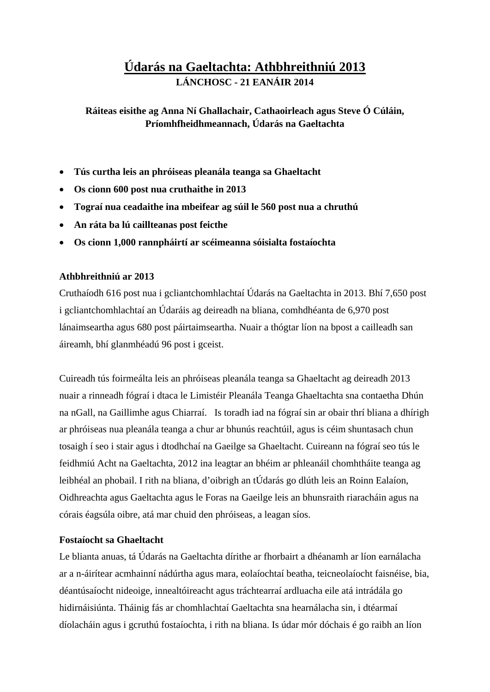# **Údarás na Gaeltachta: Athbhreithniú 2013 LÁNCHOSC - 21 EANÁIR 2014**

# **Ráiteas eisithe ag Anna Ní Ghallachair, Cathaoirleach agus Steve Ó Cúláin, Príomhfheidhmeannach, Údarás na Gaeltachta**

- **Tús curtha leis an phróiseas pleanála teanga sa Ghaeltacht**
- **Os cionn 600 post nua cruthaithe in 2013**
- **Tograí nua ceadaithe ina mbeifear ag súil le 560 post nua a chruthú**
- **An ráta ba lú caillteanas post feicthe**
- **Os cionn 1,000 rannpháirtí ar scéimeanna sóisialta fostaíochta**

### **Athbhreithniú ar 2013**

Cruthaíodh 616 post nua i gcliantchomhlachtaí Údarás na Gaeltachta in 2013. Bhí 7,650 post i gcliantchomhlachtaí an Údaráis ag deireadh na bliana, comhdhéanta de 6,970 post lánaimseartha agus 680 post páirtaimseartha. Nuair a thógtar líon na bpost a cailleadh san áireamh, bhí glanmhéadú 96 post i gceist.

Cuireadh tús foirmeálta leis an phróiseas pleanála teanga sa Ghaeltacht ag deireadh 2013 nuair a rinneadh fógraí i dtaca le Limistéir Pleanála Teanga Ghaeltachta sna contaetha Dhún na nGall, na Gaillimhe agus Chiarraí. Is toradh iad na fógraí sin ar obair thrí bliana a dhírigh ar phróiseas nua pleanála teanga a chur ar bhunús reachtúil, agus is céim shuntasach chun tosaigh í seo i stair agus i dtodhchaí na Gaeilge sa Ghaeltacht. Cuireann na fógraí seo tús le feidhmiú Acht na Gaeltachta, 2012 ina leagtar an bhéim ar phleanáil chomhtháite teanga ag leibhéal an phobail. I rith na bliana, d'oibrigh an tÚdarás go dlúth leis an Roinn Ealaíon, Oidhreachta agus Gaeltachta agus le Foras na Gaeilge leis an bhunsraith riaracháin agus na córais éagsúla oibre, atá mar chuid den phróiseas, a leagan síos.

## **Fostaíocht sa Ghaeltacht**

Le blianta anuas, tá Údarás na Gaeltachta dírithe ar fhorbairt a dhéanamh ar líon earnálacha ar a n-áirítear acmhainní nádúrtha agus mara, eolaíochtaí beatha, teicneolaíocht faisnéise, bia, déantúsaíocht nideoige, innealtóireacht agus tráchtearraí ardluacha eile atá intrádála go hidirnáisiúnta. Tháinig fás ar chomhlachtaí Gaeltachta sna hearnálacha sin, i dtéarmaí díolacháin agus i gcruthú fostaíochta, i rith na bliana. Is údar mór dóchais é go raibh an líon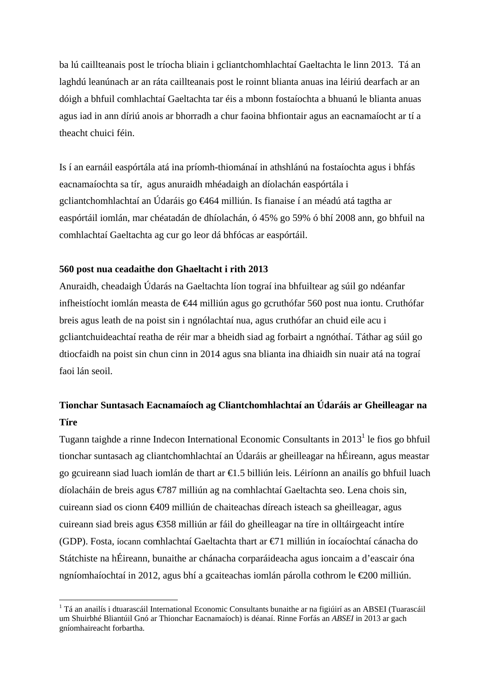ba lú caillteanais post le tríocha bliain i gcliantchomhlachtaí Gaeltachta le linn 2013. Tá an laghdú leanúnach ar an ráta caillteanais post le roinnt blianta anuas ina léiriú dearfach ar an dóigh a bhfuil comhlachtaí Gaeltachta tar éis a mbonn fostaíochta a bhuanú le blianta anuas agus iad in ann díriú anois ar bhorradh a chur faoina bhfiontair agus an eacnamaíocht ar tí a theacht chuici féin.

Is í an earnáil easpórtála atá ina príomh-thiománaí in athshlánú na fostaíochta agus i bhfás eacnamaíochta sa tír, agus anuraidh mhéadaigh an díolachán easpórtála i gcliantchomhlachtaí an Údaráis go €464 milliún. Is fianaise í an méadú atá tagtha ar easpórtáil iomlán, mar chéatadán de dhíolachán, ó 45% go 59% ó bhí 2008 ann, go bhfuil na comhlachtaí Gaeltachta ag cur go leor dá bhfócas ar easpórtáil.

#### **560 post nua ceadaithe don Ghaeltacht i rith 2013**

Anuraidh, cheadaigh Údarás na Gaeltachta líon tograí ina bhfuiltear ag súil go ndéanfar infheistíocht iomlán measta de €44 milliún agus go gcruthófar 560 post nua iontu. Cruthófar breis agus leath de na poist sin i ngnólachtaí nua, agus cruthófar an chuid eile acu i gcliantchuideachtaí reatha de réir mar a bheidh siad ag forbairt a ngnóthaí. Táthar ag súil go dtiocfaidh na poist sin chun cinn in 2014 agus sna blianta ina dhiaidh sin nuair atá na tograí faoi lán seoil.

# **Tionchar Suntasach Eacnamaíoch ag Cliantchomhlachtaí an Údaráis ar Gheilleagar na Tíre**

Tugann taighde a rinne Indecon International Economic Consultants in  $2013<sup>1</sup>$  le fios go bhfuil tionchar suntasach ag cliantchomhlachtaí an Údaráis ar gheilleagar na hÉireann, agus meastar go gcuireann siad luach iomlán de thart ar €1.5 billiún leis. Léiríonn an anailís go bhfuil luach díolacháin de breis agus €787 milliún ag na comhlachtaí Gaeltachta seo. Lena chois sin, cuireann siad os cionn €409 milliún de chaiteachas díreach isteach sa gheilleagar, agus cuireann siad breis agus €358 milliún ar fáil do gheilleagar na tíre in olltáirgeacht intíre (GDP). Fosta, íocann comhlachtaí Gaeltachta thart ar €71 milliún in íocaíochtaí cánacha do Státchiste na hÉireann, bunaithe ar chánacha corparáideacha agus ioncaim a d'eascair óna ngníomhaíochtaí in 2012, agus bhí a gcaiteachas iomlán párolla cothrom le €200 milliún.

<sup>&</sup>lt;sup>1</sup> Tá an anailís i dtuarascáil International Economic Consultants bunaithe ar na figiúirí as an ABSEI (Tuarascáil um Shuirbhé Bliantúil Gnó ar Thionchar Eacnamaíoch) is déanaí. Rinne Forfás an *ABSEI* in 2013 ar gach gníomhaireacht forbartha.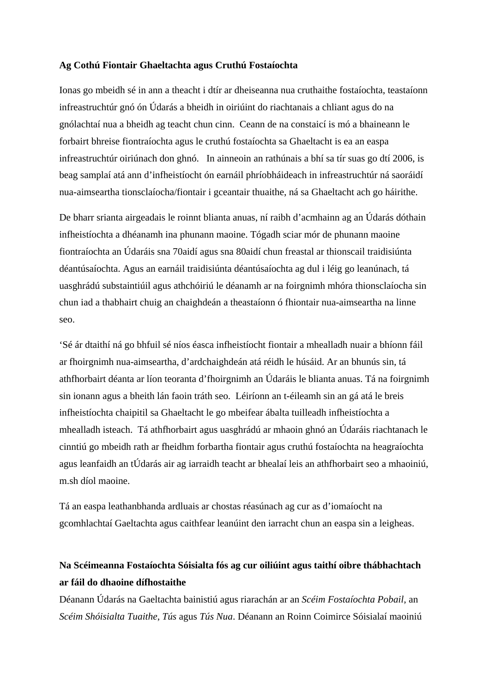#### **Ag Cothú Fiontair Ghaeltachta agus Cruthú Fostaíochta**

Ionas go mbeidh sé in ann a theacht i dtír ar dheiseanna nua cruthaithe fostaíochta, teastaíonn infreastruchtúr gnó ón Údarás a bheidh in oiriúint do riachtanais a chliant agus do na gnólachtaí nua a bheidh ag teacht chun cinn. Ceann de na constaicí is mó a bhaineann le forbairt bhreise fiontraíochta agus le cruthú fostaíochta sa Ghaeltacht is ea an easpa infreastruchtúr oiriúnach don ghnó. In ainneoin an rathúnais a bhí sa tír suas go dtí 2006, is beag samplaí atá ann d'infheistíocht ón earnáil phríobháideach in infreastruchtúr ná saoráidí nua-aimseartha tionsclaíocha/fiontair i gceantair thuaithe, ná sa Ghaeltacht ach go háirithe.

De bharr srianta airgeadais le roinnt blianta anuas, ní raibh d'acmhainn ag an Údarás dóthain infheistíochta a dhéanamh ina phunann maoine. Tógadh sciar mór de phunann maoine fiontraíochta an Údaráis sna 70aidí agus sna 80aidí chun freastal ar thionscail traidisiúnta déantúsaíochta. Agus an earnáil traidisiúnta déantúsaíochta ag dul i léig go leanúnach, tá uasghrádú substaintiúil agus athchóiriú le déanamh ar na foirgnimh mhóra thionsclaíocha sin chun iad a thabhairt chuig an chaighdeán a theastaíonn ó fhiontair nua-aimseartha na linne seo.

'Sé ár dtaithí ná go bhfuil sé níos éasca infheistíocht fiontair a mhealladh nuair a bhíonn fáil ar fhoirgnimh nua-aimseartha, d'ardchaighdeán atá réidh le húsáid. Ar an bhunús sin, tá athfhorbairt déanta ar líon teoranta d'fhoirgnimh an Údaráis le blianta anuas. Tá na foirgnimh sin ionann agus a bheith lán faoin tráth seo. Léiríonn an t-éileamh sin an gá atá le breis infheistíochta chaipitil sa Ghaeltacht le go mbeifear ábalta tuilleadh infheistíochta a mhealladh isteach. Tá athfhorbairt agus uasghrádú ar mhaoin ghnó an Údaráis riachtanach le cinntiú go mbeidh rath ar fheidhm forbartha fiontair agus cruthú fostaíochta na heagraíochta agus leanfaidh an tÚdarás air ag iarraidh teacht ar bhealaí leis an athfhorbairt seo a mhaoiniú, m.sh díol maoine.

Tá an easpa leathanbhanda ardluais ar chostas réasúnach ag cur as d'iomaíocht na gcomhlachtaí Gaeltachta agus caithfear leanúint den iarracht chun an easpa sin a leigheas.

# **Na Scéimeanna Fostaíochta Sóisialta fós ag cur oiliúint agus taithí oibre thábhachtach ar fáil do dhaoine dífhostaithe**

Déanann Údarás na Gaeltachta bainistiú agus riarachán ar an *Scéim Fostaíochta Pobail*, an *Scéim Shóisialta Tuaithe*, *Tús* agus *Tús Nua*. Déanann an Roinn Coimirce Sóisialaí maoiniú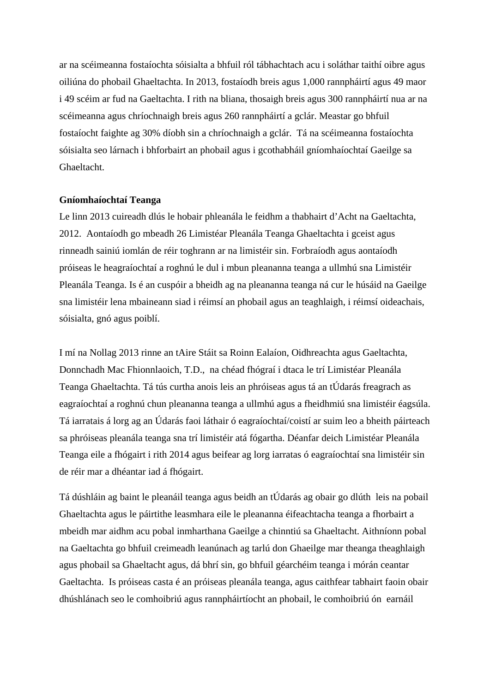ar na scéimeanna fostaíochta sóisialta a bhfuil ról tábhachtach acu i soláthar taithí oibre agus oiliúna do phobail Ghaeltachta. In 2013, fostaíodh breis agus 1,000 rannpháirtí agus 49 maor i 49 scéim ar fud na Gaeltachta. I rith na bliana, thosaigh breis agus 300 rannpháirtí nua ar na scéimeanna agus chríochnaigh breis agus 260 rannpháirtí a gclár. Meastar go bhfuil fostaíocht faighte ag 30% díobh sin a chríochnaigh a gclár. Tá na scéimeanna fostaíochta sóisialta seo lárnach i bhforbairt an phobail agus i gcothabháil gníomhaíochtaí Gaeilge sa Ghaeltacht.

#### **Gníomhaíochtaí Teanga**

Le linn 2013 cuireadh dlús le hobair phleanála le feidhm a thabhairt d'Acht na Gaeltachta, 2012. Aontaíodh go mbeadh 26 Limistéar Pleanála Teanga Ghaeltachta i gceist agus rinneadh sainiú iomlán de réir toghrann ar na limistéir sin. Forbraíodh agus aontaíodh próiseas le heagraíochtaí a roghnú le dul i mbun pleananna teanga a ullmhú sna Limistéir Pleanála Teanga. Is é an cuspóir a bheidh ag na pleananna teanga ná cur le húsáid na Gaeilge sna limistéir lena mbaineann siad i réimsí an phobail agus an teaghlaigh, i réimsí oideachais, sóisialta, gnó agus poiblí.

I mí na Nollag 2013 rinne an tAire Stáit sa Roinn Ealaíon, Oidhreachta agus Gaeltachta, Donnchadh Mac Fhionnlaoich, T.D., na chéad fhógraí i dtaca le trí Limistéar Pleanála Teanga Ghaeltachta. Tá tús curtha anois leis an phróiseas agus tá an tÚdarás freagrach as eagraíochtaí a roghnú chun pleananna teanga a ullmhú agus a fheidhmiú sna limistéir éagsúla. Tá iarratais á lorg ag an Údarás faoi láthair ó eagraíochtaí/coistí ar suim leo a bheith páirteach sa phróiseas pleanála teanga sna trí limistéir atá fógartha. Déanfar deich Limistéar Pleanála Teanga eile a fhógairt i rith 2014 agus beifear ag lorg iarratas ó eagraíochtaí sna limistéir sin de réir mar a dhéantar iad á fhógairt.

Tá dúshláin ag baint le pleanáil teanga agus beidh an tÚdarás ag obair go dlúth leis na pobail Ghaeltachta agus le páirtithe leasmhara eile le pleananna éifeachtacha teanga a fhorbairt a mbeidh mar aidhm acu pobal inmharthana Gaeilge a chinntiú sa Ghaeltacht. Aithníonn pobal na Gaeltachta go bhfuil creimeadh leanúnach ag tarlú don Ghaeilge mar theanga theaghlaigh agus phobail sa Ghaeltacht agus, dá bhrí sin, go bhfuil géarchéim teanga i mórán ceantar Gaeltachta. Is próiseas casta é an próiseas pleanála teanga, agus caithfear tabhairt faoin obair dhúshlánach seo le comhoibriú agus rannpháirtíocht an phobail, le comhoibriú ón earnáil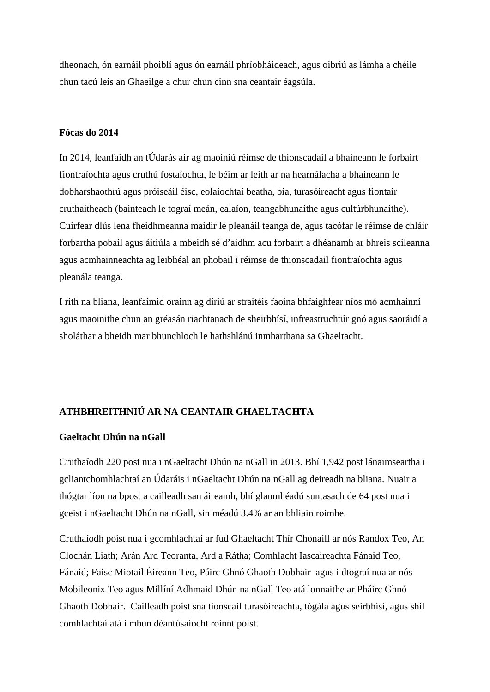dheonach, ón earnáil phoiblí agus ón earnáil phríobháideach, agus oibriú as lámha a chéile chun tacú leis an Ghaeilge a chur chun cinn sna ceantair éagsúla.

### **Fócas do 2014**

In 2014, leanfaidh an tÚdarás air ag maoiniú réimse de thionscadail a bhaineann le forbairt fiontraíochta agus cruthú fostaíochta, le béim ar leith ar na hearnálacha a bhaineann le dobharshaothrú agus próiseáil éisc, eolaíochtaí beatha, bia, turasóireacht agus fiontair cruthaitheach (bainteach le tograí meán, ealaíon, teangabhunaithe agus cultúrbhunaithe). Cuirfear dlús lena fheidhmeanna maidir le pleanáil teanga de, agus tacófar le réimse de chláir forbartha pobail agus áitiúla a mbeidh sé d'aidhm acu forbairt a dhéanamh ar bhreis scileanna agus acmhainneachta ag leibhéal an phobail i réimse de thionscadail fiontraíochta agus pleanála teanga.

I rith na bliana, leanfaimid orainn ag díriú ar straitéis faoina bhfaighfear níos mó acmhainní agus maoinithe chun an gréasán riachtanach de sheirbhísí, infreastruchtúr gnó agus saoráidí a sholáthar a bheidh mar bhunchloch le hathshlánú inmharthana sa Ghaeltacht.

# **ATHBHREITHNIÚ AR NA CEANTAIR GHAELTACHTA**

### **Gaeltacht Dhún na nGall**

Cruthaíodh 220 post nua i nGaeltacht Dhún na nGall in 2013. Bhí 1,942 post lánaimseartha i gcliantchomhlachtaí an Údaráis i nGaeltacht Dhún na nGall ag deireadh na bliana. Nuair a thógtar líon na bpost a cailleadh san áireamh, bhí glanmhéadú suntasach de 64 post nua i gceist i nGaeltacht Dhún na nGall, sin méadú 3.4% ar an bhliain roimhe.

Cruthaíodh poist nua i gcomhlachtaí ar fud Ghaeltacht Thír Chonaill ar nós Randox Teo, An Clochán Liath; Arán Ard Teoranta, Ard a Rátha; Comhlacht Iascaireachta Fánaid Teo, Fánaid; Faisc Miotail Éireann Teo, Páirc Ghnó Ghaoth Dobhair agus i dtograí nua ar nós Mobileonix Teo agus Millíní Adhmaid Dhún na nGall Teo atá lonnaithe ar Pháirc Ghnó Ghaoth Dobhair. Cailleadh poist sna tionscail turasóireachta, tógála agus seirbhísí, agus shil comhlachtaí atá i mbun déantúsaíocht roinnt poist.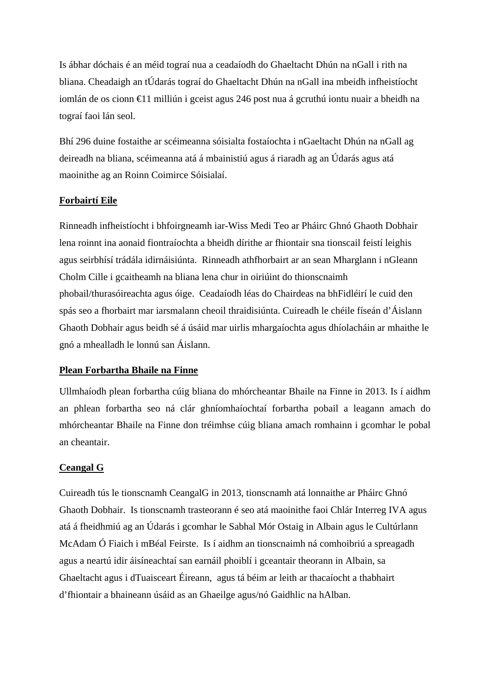Is ábhar dóchais é an méid tograí nua a ceadaíodh do Ghaeltacht Dhún na nGall i rith na bliana. Cheadaigh an tÚdarás tograí do Ghaeltacht Dhún na nGall ina mbeidh infheistíocht iomlán de os cionn €11 milliún i gceist agus 246 post nua á gcruthú iontu nuair a bheidh na tograí faoi lán seol.

Bhí 296 duine fostaithe ar scéimeanna sóisialta fostaíochta i nGaeltacht Dhún na nGall ag deireadh na bliana, scéimeanna atá á mbainistiú agus á riaradh ag an Údarás agus atá maoinithe ag an Roinn Coimirce Sóisialaí.

## **Forbairtí Eile**

Rinneadh infheistíocht i bhfoirgneamh iar-Wiss Medi Teo ar Pháirc Ghnó Ghaoth Dobhair lena roinnt ina aonaid fiontraíochta a bheidh dírithe ar fhiontair sna tionscail feistí leighis agus seirbhísí trádála idirnáisiúnta. Rinneadh athfhorbairt ar an sean Mharglann i nGleann Cholm Cille i gcaitheamh na bliana lena chur in oiriúint do thionscnaimh phobail/thurasóireachta agus óige. Ceadaíodh léas do Chairdeas na bhFidléirí le cuid den spás seo a fhorbairt mar iarsmalann cheoil thraidisiúnta. Cuireadh le chéile físeán d'Áislann Ghaoth Dobhair agus beidh sé á úsáid mar uirlis mhargaíochta agus dhíolacháin ar mhaithe le gnó a mhealladh le lonnú san Áislann.

### **Plean Forbartha Bhaile na Finne**

Ullmhaíodh plean forbartha cúig bliana do mhórcheantar Bhaile na Finne in 2013. Is í aidhm an phlean forbartha seo ná clár ghníomhaíochtaí forbartha pobail a leagann amach do mhórcheantar Bhaile na Finne don tréimhse cúig bliana amach romhainn i gcomhar le pobal an cheantair.

## **Ceangal G**

Cuireadh tús le tionscnamh CeangalG in 2013, tionscnamh atá lonnaithe ar Pháirc Ghnó Ghaoth Dobhair. Is tionscnamh trasteorann é seo atá maoinithe faoi Chlár Interreg IVA agus atá á fheidhmiú ag an Údarás i gcomhar le Sabhal Mór Ostaig in Albain agus le Cultúrlann McAdam Ó Fiaich i mBéal Feirste. Is í aidhm an tionscnaimh ná comhoibriú a spreagadh agus a neartú idir áisíneachtaí san earnáil phoiblí i gceantair theorann in Albain, sa Ghaeltacht agus i dTuaisceart Éireann, agus tá béim ar leith ar thacaíocht a thabhairt d'fhiontair a bhaineann úsáid as an Ghaeilge agus/nó Gaidhlic na hAlban.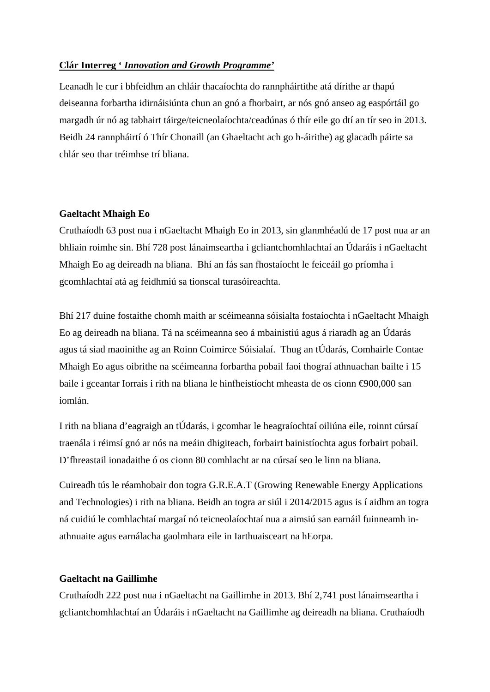### **Clár Interreg '** *Innovation and Growth Programme'*

Leanadh le cur i bhfeidhm an chláir thacaíochta do rannpháirtithe atá dírithe ar thapú deiseanna forbartha idirnáisiúnta chun an gnó a fhorbairt, ar nós gnó anseo ag easpórtáil go margadh úr nó ag tabhairt táirge/teicneolaíochta/ceadúnas ó thír eile go dtí an tír seo in 2013. Beidh 24 rannpháirtí ó Thír Chonaill (an Ghaeltacht ach go h-áirithe) ag glacadh páirte sa chlár seo thar tréimhse trí bliana.

#### **Gaeltacht Mhaigh Eo**

Cruthaíodh 63 post nua i nGaeltacht Mhaigh Eo in 2013, sin glanmhéadú de 17 post nua ar an bhliain roimhe sin. Bhí 728 post lánaimseartha i gcliantchomhlachtaí an Údaráis i nGaeltacht Mhaigh Eo ag deireadh na bliana. Bhí an fás san fhostaíocht le feiceáil go príomha i gcomhlachtaí atá ag feidhmiú sa tionscal turasóireachta.

Bhí 217 duine fostaithe chomh maith ar scéimeanna sóisialta fostaíochta i nGaeltacht Mhaigh Eo ag deireadh na bliana. Tá na scéimeanna seo á mbainistiú agus á riaradh ag an Údarás agus tá siad maoinithe ag an Roinn Coimirce Sóisialaí. Thug an tÚdarás, Comhairle Contae Mhaigh Eo agus oibrithe na scéimeanna forbartha pobail faoi thograí athnuachan bailte i 15 baile i gceantar Iorrais i rith na bliana le hinfheistíocht mheasta de os cionn €900,000 san iomlán.

I rith na bliana d'eagraigh an tÚdarás, i gcomhar le heagraíochtaí oiliúna eile, roinnt cúrsaí traenála i réimsí gnó ar nós na meáin dhigiteach, forbairt bainistíochta agus forbairt pobail. D'fhreastail ionadaithe ó os cionn 80 comhlacht ar na cúrsaí seo le linn na bliana.

Cuireadh tús le réamhobair don togra G.R.E.A.T (Growing Renewable Energy Applications and Technologies) i rith na bliana. Beidh an togra ar siúl i 2014/2015 agus is í aidhm an togra ná cuidiú le comhlachtaí margaí nó teicneolaíochtaí nua a aimsiú san earnáil fuinneamh inathnuaite agus earnálacha gaolmhara eile in Iarthuaisceart na hEorpa.

#### **Gaeltacht na Gaillimhe**

Cruthaíodh 222 post nua i nGaeltacht na Gaillimhe in 2013. Bhí 2,741 post lánaimseartha i gcliantchomhlachtaí an Údaráis i nGaeltacht na Gaillimhe ag deireadh na bliana. Cruthaíodh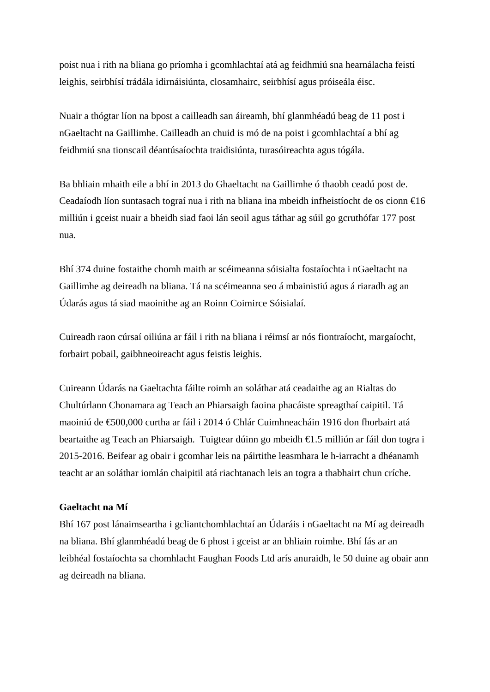poist nua i rith na bliana go príomha i gcomhlachtaí atá ag feidhmiú sna hearnálacha feistí leighis, seirbhísí trádála idirnáisiúnta, closamhairc, seirbhísí agus próiseála éisc.

Nuair a thógtar líon na bpost a cailleadh san áireamh, bhí glanmhéadú beag de 11 post i nGaeltacht na Gaillimhe. Cailleadh an chuid is mó de na poist i gcomhlachtaí a bhí ag feidhmiú sna tionscail déantúsaíochta traidisiúnta, turasóireachta agus tógála.

Ba bhliain mhaith eile a bhí in 2013 do Ghaeltacht na Gaillimhe ó thaobh ceadú post de. Ceadaíodh líon suntasach tograí nua i rith na bliana ina mbeidh infheistíocht de os cionn €16 milliún i gceist nuair a bheidh siad faoi lán seoil agus táthar ag súil go gcruthófar 177 post nua.

Bhí 374 duine fostaithe chomh maith ar scéimeanna sóisialta fostaíochta i nGaeltacht na Gaillimhe ag deireadh na bliana. Tá na scéimeanna seo á mbainistiú agus á riaradh ag an Údarás agus tá siad maoinithe ag an Roinn Coimirce Sóisialaí.

Cuireadh raon cúrsaí oiliúna ar fáil i rith na bliana i réimsí ar nós fiontraíocht, margaíocht, forbairt pobail, gaibhneoireacht agus feistis leighis.

Cuireann Údarás na Gaeltachta fáilte roimh an soláthar atá ceadaithe ag an Rialtas do Chultúrlann Chonamara ag Teach an Phiarsaigh faoina phacáiste spreagthaí caipitil. Tá maoiniú de €500,000 curtha ar fáil i 2014 ó Chlár Cuimhneacháin 1916 don fhorbairt atá beartaithe ag Teach an Phiarsaigh. Tuigtear dúinn go mbeidh €1.5 milliún ar fáil don togra i 2015-2016. Beifear ag obair i gcomhar leis na páirtithe leasmhara le h-iarracht a dhéanamh teacht ar an soláthar iomlán chaipitil atá riachtanach leis an togra a thabhairt chun críche.

## **Gaeltacht na Mí**

Bhí 167 post lánaimseartha i gcliantchomhlachtaí an Údaráis i nGaeltacht na Mí ag deireadh na bliana. Bhí glanmhéadú beag de 6 phost i gceist ar an bhliain roimhe. Bhí fás ar an leibhéal fostaíochta sa chomhlacht Faughan Foods Ltd arís anuraidh, le 50 duine ag obair ann ag deireadh na bliana.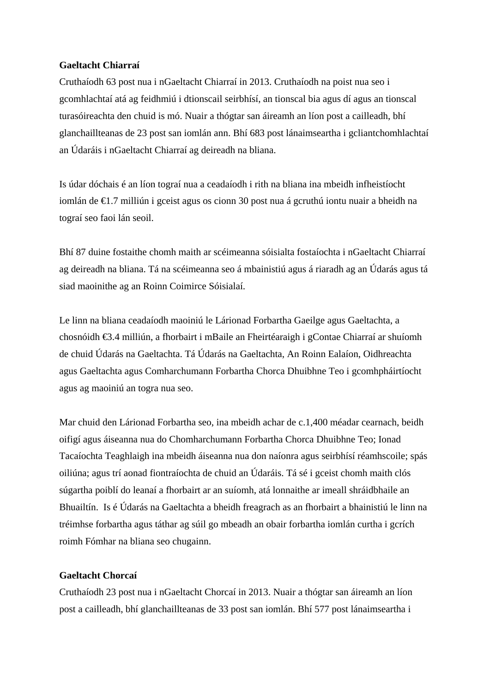### **Gaeltacht Chiarraí**

Cruthaíodh 63 post nua i nGaeltacht Chiarraí in 2013. Cruthaíodh na poist nua seo i gcomhlachtaí atá ag feidhmiú i dtionscail seirbhísí, an tionscal bia agus dí agus an tionscal turasóireachta den chuid is mó. Nuair a thógtar san áireamh an líon post a cailleadh, bhí glanchaillteanas de 23 post san iomlán ann. Bhí 683 post lánaimseartha i gcliantchomhlachtaí an Údaráis i nGaeltacht Chiarraí ag deireadh na bliana.

Is údar dóchais é an líon tograí nua a ceadaíodh i rith na bliana ina mbeidh infheistíocht iomlán de €1.7 milliún i gceist agus os cionn 30 post nua á gcruthú iontu nuair a bheidh na tograí seo faoi lán seoil.

Bhí 87 duine fostaithe chomh maith ar scéimeanna sóisialta fostaíochta i nGaeltacht Chiarraí ag deireadh na bliana. Tá na scéimeanna seo á mbainistiú agus á riaradh ag an Údarás agus tá siad maoinithe ag an Roinn Coimirce Sóisialaí.

Le linn na bliana ceadaíodh maoiniú le Lárionad Forbartha Gaeilge agus Gaeltachta, a chosnóidh €3.4 milliún, a fhorbairt i mBaile an Fheirtéaraigh i gContae Chiarraí ar shuíomh de chuid Údarás na Gaeltachta. Tá Údarás na Gaeltachta, An Roinn Ealaíon, Oidhreachta agus Gaeltachta agus Comharchumann Forbartha Chorca Dhuibhne Teo i gcomhpháirtíocht agus ag maoiniú an togra nua seo.

Mar chuid den Lárionad Forbartha seo, ina mbeidh achar de c.1,400 méadar cearnach, beidh oifigí agus áiseanna nua do Chomharchumann Forbartha Chorca Dhuibhne Teo; Ionad Tacaíochta Teaghlaigh ina mbeidh áiseanna nua don naíonra agus seirbhísí réamhscoile; spás oiliúna; agus trí aonad fiontraíochta de chuid an Údaráis. Tá sé i gceist chomh maith clós súgartha poiblí do leanaí a fhorbairt ar an suíomh, atá lonnaithe ar imeall shráidbhaile an Bhuailtín. Is é Údarás na Gaeltachta a bheidh freagrach as an fhorbairt a bhainistiú le linn na tréimhse forbartha agus táthar ag súil go mbeadh an obair forbartha iomlán curtha i gcrích roimh Fómhar na bliana seo chugainn.

### **Gaeltacht Chorcaí**

Cruthaíodh 23 post nua i nGaeltacht Chorcaí in 2013. Nuair a thógtar san áireamh an líon post a cailleadh, bhí glanchaillteanas de 33 post san iomlán. Bhí 577 post lánaimseartha i